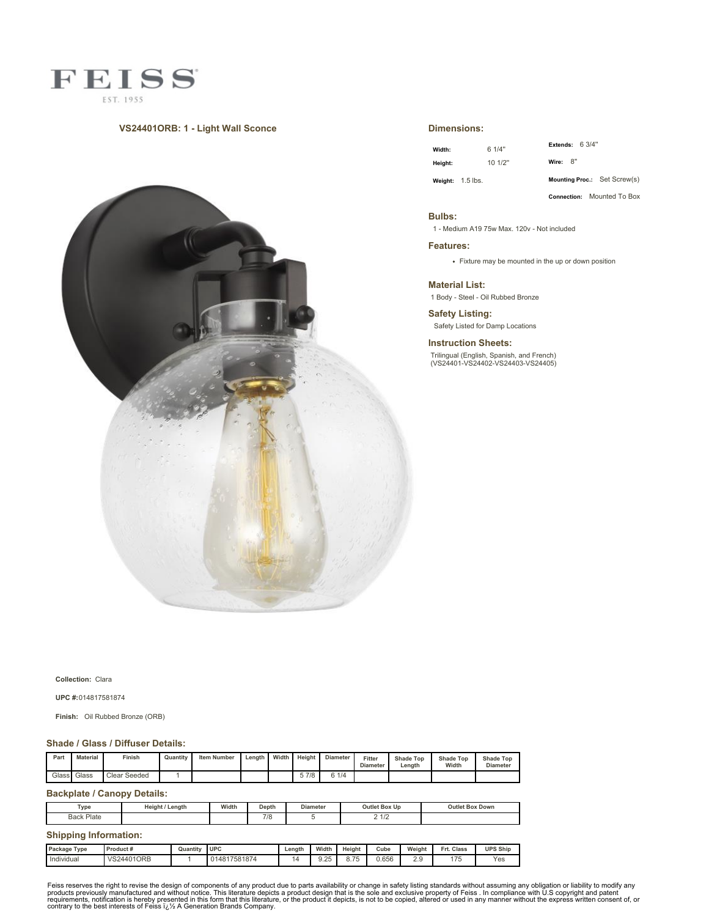

### **VS24401ORB: 1 - Light Wall Sconce**



#### **Dimensions:**

| Width:  | 6 1/4"             | Extends: $63/4"$             |
|---------|--------------------|------------------------------|
| Height: | 101/2"             | Wire: 8"                     |
|         | Weight: $1.5$ lbs. | Mounting Proc.: Set Screw(s) |

**Connection:** Mounted To Box

#### **Bulbs:**

1 - Medium A19 75w Max. 120v - Not included

**Features:**

Fixture may be mounted in the up or down position

**Material List:**

1 Body - Steel - Oil Rubbed Bronze

**Safety Listing:** Safety Listed for Damp Locations

**Instruction Sheets:**

Trilingual (English, Spanish, and French) (VS24401-VS24402-VS24403-VS24405)

**Collection:** Clara

**UPC #:**014817581874

**Finish:** Oil Rubbed Bronze (ORB)

#### **Shade / Glass / Diffuser Details:**

| Pan | <b>Material</b> | sinish       | Quantity | <b>Item Number</b> | Length | Width | Height | <b>Diameter</b> | Fitter<br><b>Diameter</b> | <b>Shade Top</b><br>Lenath | <b>Shade Top</b><br>Width | <b>Shade Top</b><br><b>Diameter</b> |
|-----|-----------------|--------------|----------|--------------------|--------|-------|--------|-----------------|---------------------------|----------------------------|---------------------------|-------------------------------------|
|     | Glass   Glass   | Clear Seeded |          |                    |        |       | 5 7/8  | 6 1/4           |                           |                            |                           |                                     |

# **Backplate / Canopy Details:**

| ™уре          | Heiaht<br>Lenath | Width | Depth | <b>Diameter</b> | Outlet Box Up | <b>Box Down</b><br>Outlet |
|---------------|------------------|-------|-------|-----------------|---------------|---------------------------|
| Plate<br>Back |                  |       | 7/8   |                 | $A$ $I$ $C$   |                           |

## **Shipping Information:**

| Type<br>Package | Product #         | Quantity | <b>UPC</b>   | Lenath | Width            | Height               | Cube  | Weight      | Frt. Class | <b>UPS Ship</b> |
|-----------------|-------------------|----------|--------------|--------|------------------|----------------------|-------|-------------|------------|-----------------|
| Individual      | <b>VS24401ORB</b> |          | 014817581874 |        | 」つに<br>ີ<br>◡.∠◡ | $- -$<br><b>U.IU</b> | 0.656 | 20<br>ت . ت | 175<br>ں ، | Yes             |

Feiss reserves the right to revise the design of components of any product due to parts availability or change in safety listing standards without assuming any obligation or liability to modify any product due to parts av